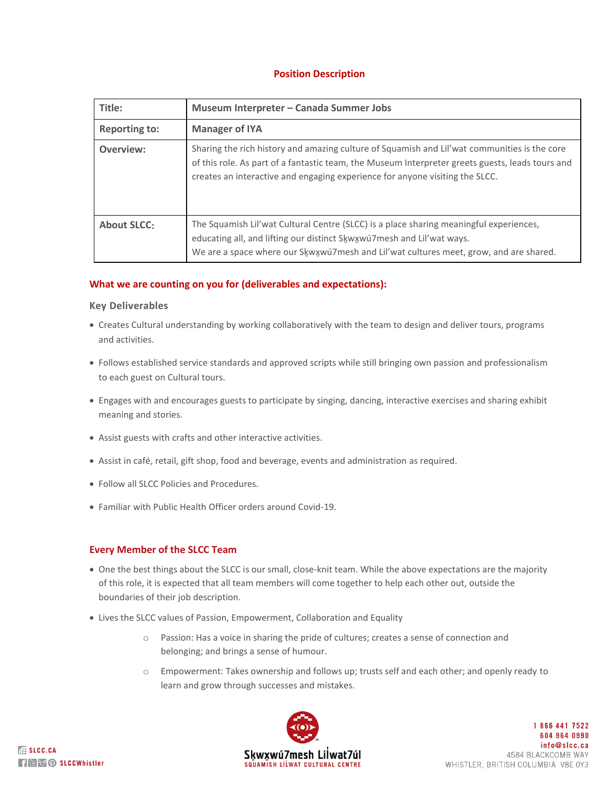# **Position Description**

| Title:               | Museum Interpreter - Canada Summer Jobs                                                                                                                                                                                                                                          |
|----------------------|----------------------------------------------------------------------------------------------------------------------------------------------------------------------------------------------------------------------------------------------------------------------------------|
| <b>Reporting to:</b> | <b>Manager of IYA</b>                                                                                                                                                                                                                                                            |
| Overview:            | Sharing the rich history and amazing culture of Squamish and Lil'wat communities is the core<br>of this role. As part of a fantastic team, the Museum Interpreter greets guests, leads tours and<br>creates an interactive and engaging experience for anyone visiting the SLCC. |
| <b>About SLCC:</b>   | The Squamish Lil'wat Cultural Centre (SLCC) is a place sharing meaningful experiences,<br>educating all, and lifting our distinct Skwxwu7mesh and Lil'wat ways.<br>We are a space where our Skwxwu7mesh and Lil'wat cultures meet, grow, and are shared.                         |

## **What we are counting on you for (deliverables and expectations):**

## **Key Deliverables**

- Creates Cultural understanding by working collaboratively with the team to design and deliver tours, programs and activities.
- Follows established service standards and approved scripts while still bringing own passion and professionalism to each guest on Cultural tours.
- Engages with and encourages guests to participate by singing, dancing, interactive exercises and sharing exhibit meaning and stories.
- Assist guests with crafts and other interactive activities.
- Assist in café, retail, gift shop, food and beverage, events and administration as required.
- Follow all SLCC Policies and Procedures.
- Familiar with Public Health Officer orders around Covid-19.

## **Every Member of the SLCC Team**

- One the best things about the SLCC is our small, close-knit team. While the above expectations are the majority of this role, it is expected that all team members will come together to help each other out, outside the boundaries of their job description.
- Lives the SLCC values of Passion, Empowerment, Collaboration and Equality
	- o Passion: Has a voice in sharing the pride of cultures; creates a sense of connection and belonging; and brings a sense of humour.
	- o Empowerment: Takes ownership and follows up; trusts self and each other; and openly ready to learn and grow through successes and mistakes.